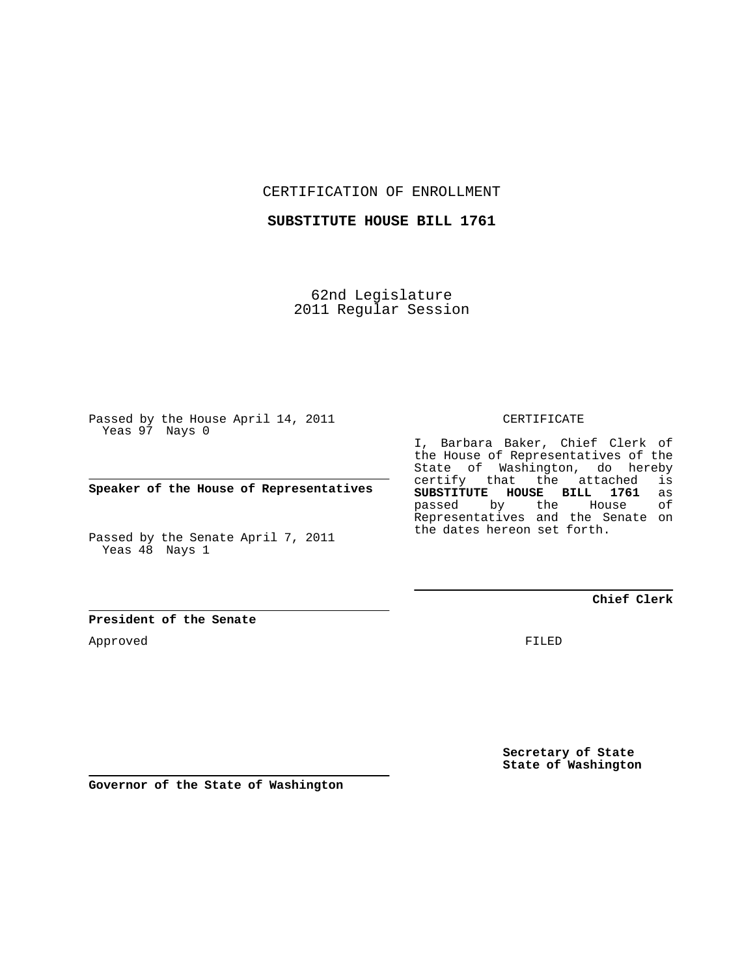CERTIFICATION OF ENROLLMENT

**SUBSTITUTE HOUSE BILL 1761**

62nd Legislature 2011 Regular Session

Passed by the House April 14, 2011 Yeas 97 Nays 0

**Speaker of the House of Representatives**

Passed by the Senate April 7, 2011 Yeas 48 Nays 1

**President of the Senate**

Approved

CERTIFICATE

I, Barbara Baker, Chief Clerk of the House of Representatives of the State of Washington, do hereby certify that the attached is<br>SUBSTITUTE HOUSE BILL 1761 as **SUBSTITUTE HOUSE BILL 1761** as passed by the Representatives and the Senate on the dates hereon set forth.

**Chief Clerk**

FILED

**Secretary of State State of Washington**

**Governor of the State of Washington**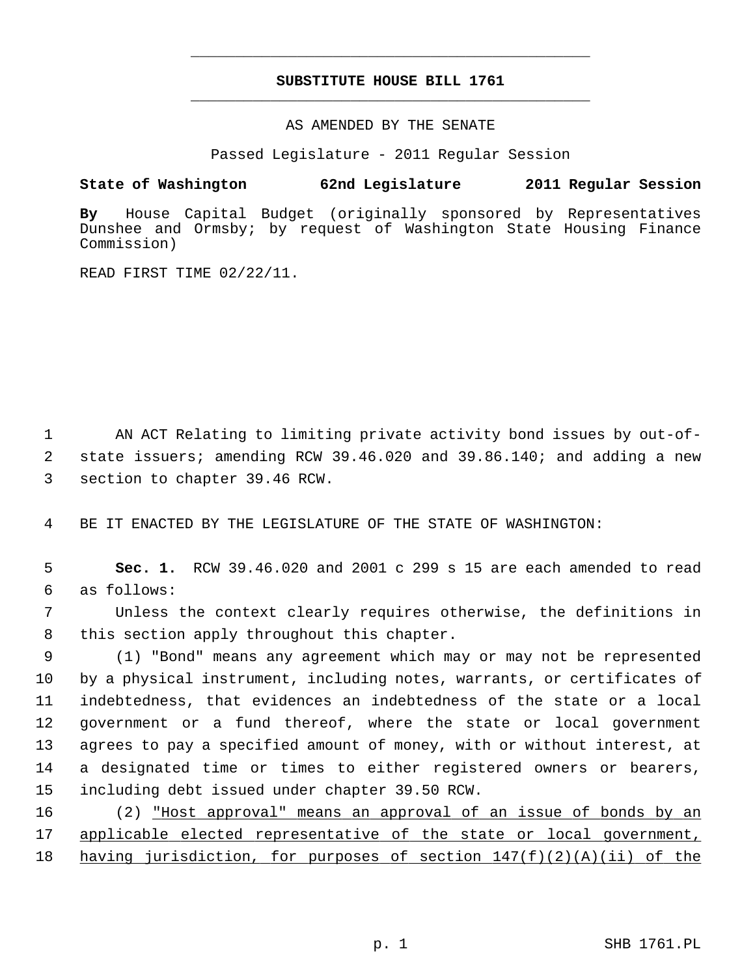## **SUBSTITUTE HOUSE BILL 1761** \_\_\_\_\_\_\_\_\_\_\_\_\_\_\_\_\_\_\_\_\_\_\_\_\_\_\_\_\_\_\_\_\_\_\_\_\_\_\_\_\_\_\_\_\_

\_\_\_\_\_\_\_\_\_\_\_\_\_\_\_\_\_\_\_\_\_\_\_\_\_\_\_\_\_\_\_\_\_\_\_\_\_\_\_\_\_\_\_\_\_

## AS AMENDED BY THE SENATE

Passed Legislature - 2011 Regular Session

## **State of Washington 62nd Legislature 2011 Regular Session**

**By** House Capital Budget (originally sponsored by Representatives Dunshee and Ormsby; by request of Washington State Housing Finance Commission)

READ FIRST TIME 02/22/11.

 1 AN ACT Relating to limiting private activity bond issues by out-of- 2 state issuers; amending RCW 39.46.020 and 39.86.140; and adding a new 3 section to chapter 39.46 RCW.

4 BE IT ENACTED BY THE LEGISLATURE OF THE STATE OF WASHINGTON:

 5 **Sec. 1.** RCW 39.46.020 and 2001 c 299 s 15 are each amended to read 6 as follows:

 7 Unless the context clearly requires otherwise, the definitions in 8 this section apply throughout this chapter.

 9 (1) "Bond" means any agreement which may or may not be represented 10 by a physical instrument, including notes, warrants, or certificates of 11 indebtedness, that evidences an indebtedness of the state or a local 12 government or a fund thereof, where the state or local government 13 agrees to pay a specified amount of money, with or without interest, at 14 a designated time or times to either registered owners or bearers, 15 including debt issued under chapter 39.50 RCW.

16 (2) "Host approval" means an approval of an issue of bonds by an 17 applicable elected representative of the state or local government, 18 having jurisdiction, for purposes of section  $147(f)(2)(A)(ii)$  of the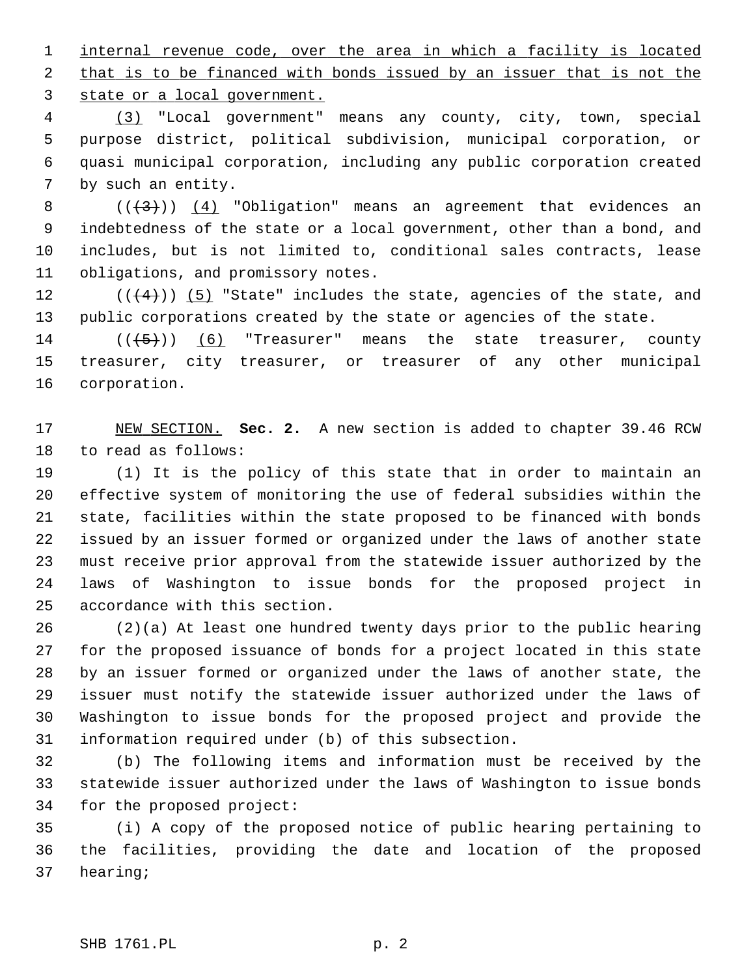1 internal revenue code, over the area in which a facility is located 2 that is to be financed with bonds issued by an issuer that is not the 3 state or a local government.

 4 (3) "Local government" means any county, city, town, special 5 purpose district, political subdivision, municipal corporation, or 6 quasi municipal corporation, including any public corporation created 7 by such an entity.

8  $((+3))$   $(4)$  "Obligation" means an agreement that evidences an 9 indebtedness of the state or a local government, other than a bond, and 10 includes, but is not limited to, conditional sales contracts, lease 11 obligations, and promissory notes.

12  $((+4))$   $(5)$  "State" includes the state, agencies of the state, and 13 public corporations created by the state or agencies of the state.

14  $((+5))$  (6) "Treasurer" means the state treasurer, county 15 treasurer, city treasurer, or treasurer of any other municipal 16 corporation.

17 NEW SECTION. **Sec. 2.** A new section is added to chapter 39.46 RCW 18 to read as follows:

19 (1) It is the policy of this state that in order to maintain an 20 effective system of monitoring the use of federal subsidies within the 21 state, facilities within the state proposed to be financed with bonds 22 issued by an issuer formed or organized under the laws of another state 23 must receive prior approval from the statewide issuer authorized by the 24 laws of Washington to issue bonds for the proposed project in 25 accordance with this section.

26 (2)(a) At least one hundred twenty days prior to the public hearing 27 for the proposed issuance of bonds for a project located in this state 28 by an issuer formed or organized under the laws of another state, the 29 issuer must notify the statewide issuer authorized under the laws of 30 Washington to issue bonds for the proposed project and provide the 31 information required under (b) of this subsection.

32 (b) The following items and information must be received by the 33 statewide issuer authorized under the laws of Washington to issue bonds 34 for the proposed project:

35 (i) A copy of the proposed notice of public hearing pertaining to 36 the facilities, providing the date and location of the proposed 37 hearing;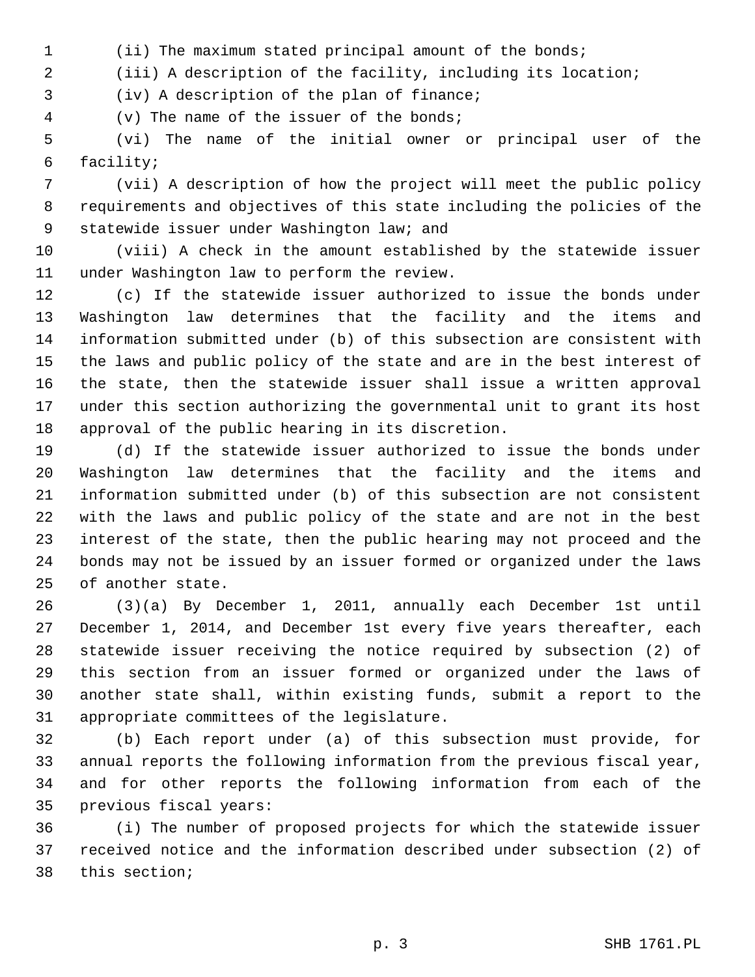1 (ii) The maximum stated principal amount of the bonds;

2 (iii) A description of the facility, including its location;

3 (iv) A description of the plan of finance;

4 (v) The name of the issuer of the bonds;

 5 (vi) The name of the initial owner or principal user of the 6 facility;

 7 (vii) A description of how the project will meet the public policy 8 requirements and objectives of this state including the policies of the 9 statewide issuer under Washington law; and

10 (viii) A check in the amount established by the statewide issuer 11 under Washington law to perform the review.

12 (c) If the statewide issuer authorized to issue the bonds under 13 Washington law determines that the facility and the items and 14 information submitted under (b) of this subsection are consistent with 15 the laws and public policy of the state and are in the best interest of 16 the state, then the statewide issuer shall issue a written approval 17 under this section authorizing the governmental unit to grant its host 18 approval of the public hearing in its discretion.

19 (d) If the statewide issuer authorized to issue the bonds under 20 Washington law determines that the facility and the items and 21 information submitted under (b) of this subsection are not consistent 22 with the laws and public policy of the state and are not in the best 23 interest of the state, then the public hearing may not proceed and the 24 bonds may not be issued by an issuer formed or organized under the laws 25 of another state.

26 (3)(a) By December 1, 2011, annually each December 1st until 27 December 1, 2014, and December 1st every five years thereafter, each 28 statewide issuer receiving the notice required by subsection (2) of 29 this section from an issuer formed or organized under the laws of 30 another state shall, within existing funds, submit a report to the 31 appropriate committees of the legislature.

32 (b) Each report under (a) of this subsection must provide, for 33 annual reports the following information from the previous fiscal year, 34 and for other reports the following information from each of the 35 previous fiscal years:

36 (i) The number of proposed projects for which the statewide issuer 37 received notice and the information described under subsection (2) of 38 this section;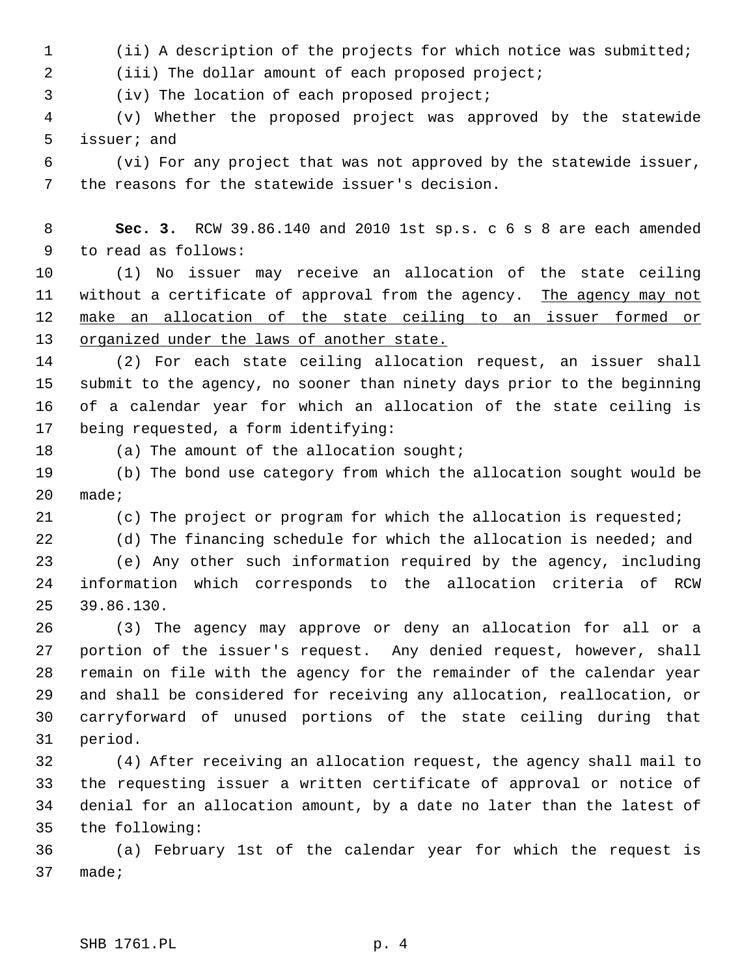1 (ii) A description of the projects for which notice was submitted;

2 (iii) The dollar amount of each proposed project;

3 (iv) The location of each proposed project;

 4 (v) Whether the proposed project was approved by the statewide 5 issuer; and

 6 (vi) For any project that was not approved by the statewide issuer, 7 the reasons for the statewide issuer's decision.

 8 **Sec. 3.** RCW 39.86.140 and 2010 1st sp.s. c 6 s 8 are each amended 9 to read as follows:

10 (1) No issuer may receive an allocation of the state ceiling 11 without a certificate of approval from the agency. The agency may not 12 make an allocation of the state ceiling to an issuer formed or 13 organized under the laws of another state.

14 (2) For each state ceiling allocation request, an issuer shall 15 submit to the agency, no sooner than ninety days prior to the beginning 16 of a calendar year for which an allocation of the state ceiling is 17 being requested, a form identifying:

18 (a) The amount of the allocation sought;

19 (b) The bond use category from which the allocation sought would be 20 made;

21 (c) The project or program for which the allocation is requested;

22 (d) The financing schedule for which the allocation is needed; and

23 (e) Any other such information required by the agency, including 24 information which corresponds to the allocation criteria of RCW 25 39.86.130.

26 (3) The agency may approve or deny an allocation for all or a 27 portion of the issuer's request. Any denied request, however, shall 28 remain on file with the agency for the remainder of the calendar year 29 and shall be considered for receiving any allocation, reallocation, or 30 carryforward of unused portions of the state ceiling during that 31 period.

32 (4) After receiving an allocation request, the agency shall mail to 33 the requesting issuer a written certificate of approval or notice of 34 denial for an allocation amount, by a date no later than the latest of 35 the following:

36 (a) February 1st of the calendar year for which the request is 37 made;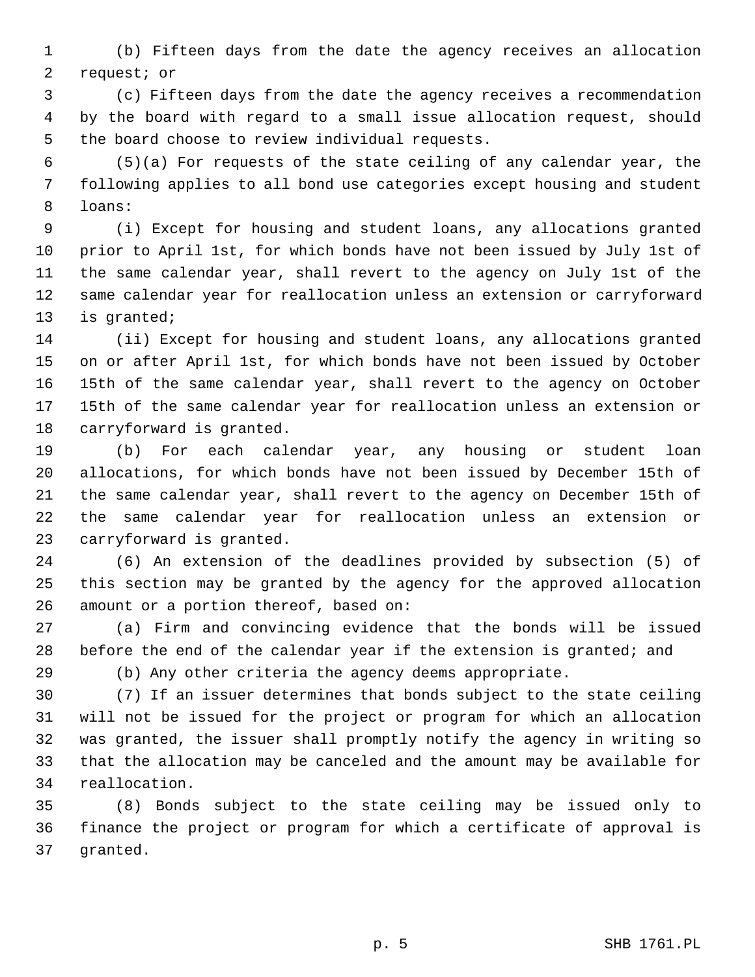1 (b) Fifteen days from the date the agency receives an allocation 2 request; or

 3 (c) Fifteen days from the date the agency receives a recommendation 4 by the board with regard to a small issue allocation request, should 5 the board choose to review individual requests.

 6 (5)(a) For requests of the state ceiling of any calendar year, the 7 following applies to all bond use categories except housing and student 8 loans:

 9 (i) Except for housing and student loans, any allocations granted 10 prior to April 1st, for which bonds have not been issued by July 1st of 11 the same calendar year, shall revert to the agency on July 1st of the 12 same calendar year for reallocation unless an extension or carryforward 13 is granted;

14 (ii) Except for housing and student loans, any allocations granted 15 on or after April 1st, for which bonds have not been issued by October 16 15th of the same calendar year, shall revert to the agency on October 17 15th of the same calendar year for reallocation unless an extension or 18 carryforward is granted.

19 (b) For each calendar year, any housing or student loan 20 allocations, for which bonds have not been issued by December 15th of 21 the same calendar year, shall revert to the agency on December 15th of 22 the same calendar year for reallocation unless an extension or 23 carryforward is granted.

24 (6) An extension of the deadlines provided by subsection (5) of 25 this section may be granted by the agency for the approved allocation 26 amount or a portion thereof, based on:

27 (a) Firm and convincing evidence that the bonds will be issued 28 before the end of the calendar year if the extension is granted; and

29 (b) Any other criteria the agency deems appropriate.

30 (7) If an issuer determines that bonds subject to the state ceiling 31 will not be issued for the project or program for which an allocation 32 was granted, the issuer shall promptly notify the agency in writing so 33 that the allocation may be canceled and the amount may be available for 34 reallocation.

35 (8) Bonds subject to the state ceiling may be issued only to 36 finance the project or program for which a certificate of approval is 37 granted.